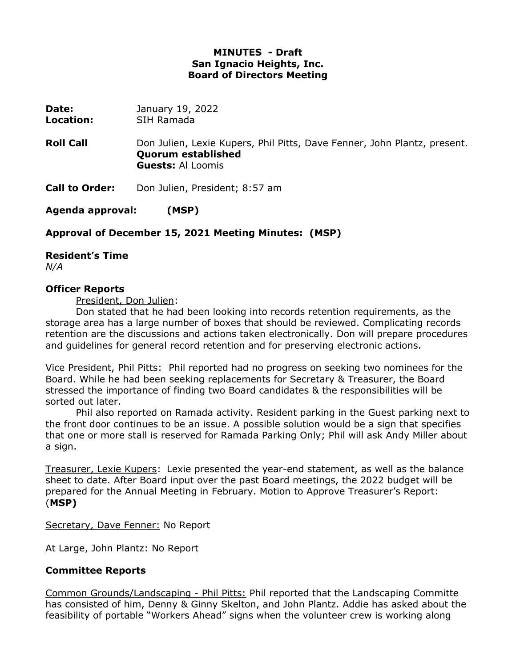### **MINUTES - Draft San Ignacio Heights, Inc. Board of Directors Meeting**

| Date:<br>Location:    | January 19, 2022<br>SIH Ramada                                                                                                    |
|-----------------------|-----------------------------------------------------------------------------------------------------------------------------------|
| <b>Roll Call</b>      | Don Julien, Lexie Kupers, Phil Pitts, Dave Fenner, John Plantz, present.<br><b>Quorum established</b><br><b>Guests: Al Loomis</b> |
| <b>Call to Order:</b> | Don Julien, President; 8:57 am                                                                                                    |
| Agenda approval:      | (MSP)                                                                                                                             |

**Approval of December 15, 2021 Meeting Minutes: (MSP)**

**Resident's Time** 

*N/A*

#### **Officer Reports**

President, Don Julien:

Don stated that he had been looking into records retention requirements, as the storage area has a large number of boxes that should be reviewed. Complicating records retention are the discussions and actions taken electronically. Don will prepare procedures and guidelines for general record retention and for preserving electronic actions.

Vice President, Phil Pitts: Phil reported had no progress on seeking two nominees for the Board. While he had been seeking replacements for Secretary & Treasurer, the Board stressed the importance of finding two Board candidates & the responsibilities will be sorted out later.

Phil also reported on Ramada activity. Resident parking in the Guest parking next to the front door continues to be an issue. A possible solution would be a sign that specifies that one or more stall is reserved for Ramada Parking Only; Phil will ask Andy Miller about a sign.

Treasurer, Lexie Kupers: Lexie presented the year-end statement, as well as the balance sheet to date. After Board input over the past Board meetings, the 2022 budget will be prepared for the Annual Meeting in February. Motion to Approve Treasurer's Report: (**MSP)**

Secretary, Dave Fenner: No Report

At Large, John Plantz: No Report

#### **Committee Reports**

Common Grounds/Landscaping - Phil Pitts: Phil reported that the Landscaping Committe has consisted of him, Denny & Ginny Skelton, and John Plantz. Addie has asked about the feasibility of portable "Workers Ahead" signs when the volunteer crew is working along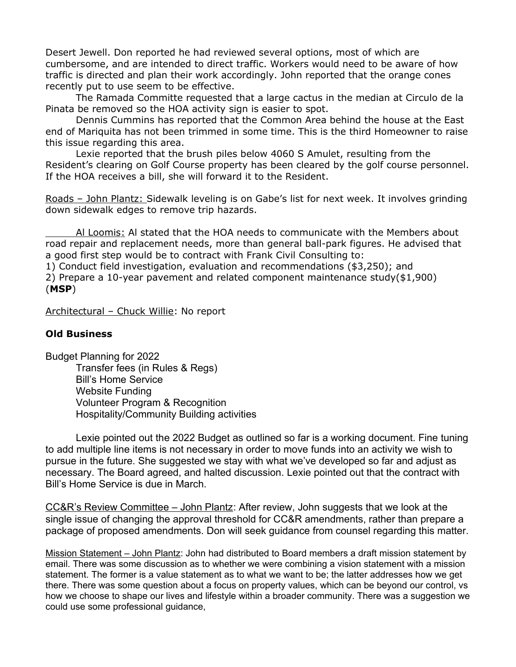Desert Jewell. Don reported he had reviewed several options, most of which are cumbersome, and are intended to direct traffic. Workers would need to be aware of how traffic is directed and plan their work accordingly. John reported that the orange cones recently put to use seem to be effective.

The Ramada Committe requested that a large cactus in the median at Circulo de la Pinata be removed so the HOA activity sign is easier to spot.

Dennis Cummins has reported that the Common Area behind the house at the East end of Mariquita has not been trimmed in some time. This is the third Homeowner to raise this issue regarding this area.

Lexie reported that the brush piles below 4060 S Amulet, resulting from the Resident's clearing on Golf Course property has been cleared by the golf course personnel. If the HOA receives a bill, she will forward it to the Resident.

Roads – John Plantz: Sidewalk leveling is on Gabe's list for next week. It involves grinding down sidewalk edges to remove trip hazards.

Al Loomis: Al stated that the HOA needs to communicate with the Members about road repair and replacement needs, more than general ball-park figures. He advised that a good first step would be to contract with Frank Civil Consulting to:

1) Conduct field investigation, evaluation and recommendations (\$3,250); and 2) Prepare a 10-year pavement and related component maintenance study(\$1,900) (**MSP**)

Architectural – Chuck Willie: No report

#### **Old Business**

Budget Planning for 2022 Transfer fees (in Rules & Regs) Bill's Home Service Website Funding Volunteer Program & Recognition Hospitality/Community Building activities

Lexie pointed out the 2022 Budget as outlined so far is a working document. Fine tuning to add multiple line items is not necessary in order to move funds into an activity we wish to pursue in the future. She suggested we stay with what we've developed so far and adjust as necessary. The Board agreed, and halted discussion. Lexie pointed out that the contract with Bill's Home Service is due in March.

CC&R's Review Committee – John Plantz: After review, John suggests that we look at the single issue of changing the approval threshold for CC&R amendments, rather than prepare a package of proposed amendments. Don will seek guidance from counsel regarding this matter.

Mission Statement – John Plantz: John had distributed to Board members a draft mission statement by email. There was some discussion as to whether we were combining a vision statement with a mission statement. The former is a value statement as to what we want to be; the latter addresses how we get there. There was some question about a focus on property values, which can be beyond our control, vs how we choose to shape our lives and lifestyle within a broader community. There was a suggestion we could use some professional guidance,